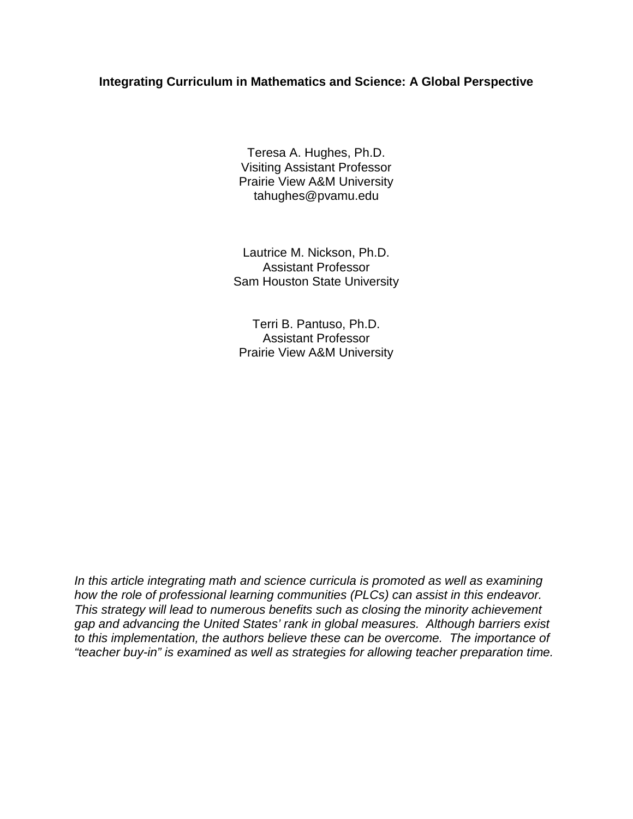# **Integrating Curriculum in Mathematics and Science: A Global Perspective**

Teresa A. Hughes, Ph.D. Visiting Assistant Professor Prairie View A&M University tahughes@pvamu.edu

Lautrice M. Nickson, Ph.D. Assistant Professor Sam Houston State University

Terri B. Pantuso, Ph.D. Assistant Professor Prairie View A&M University

*In this article integrating math and science curricula is promoted as well as examining how the role of professional learning communities (PLCs) can assist in this endeavor. This strategy will lead to numerous benefits such as closing the minority achievement gap and advancing the United States' rank in global measures. Although barriers exist to this implementation, the authors believe these can be overcome. The importance of "teacher buy-in" is examined as well as strategies for allowing teacher preparation time.*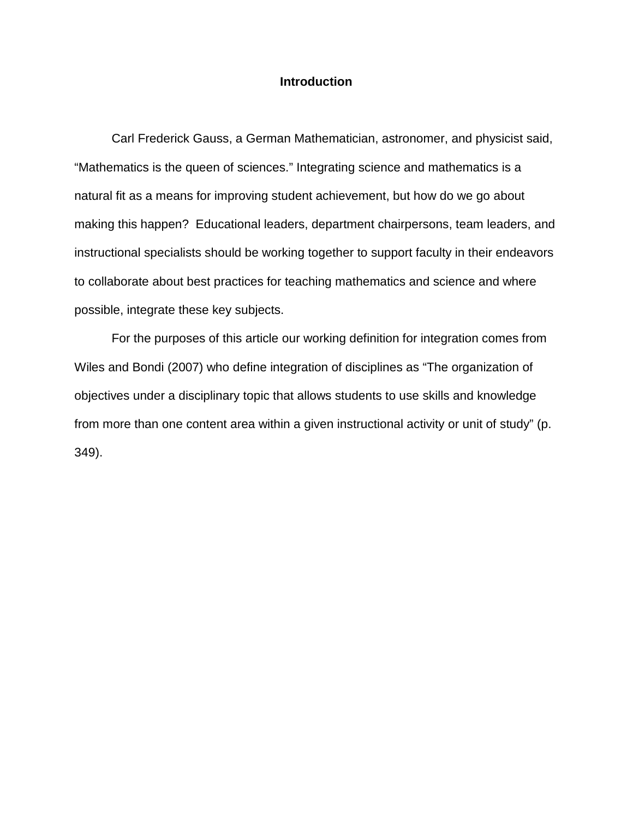## **Introduction**

Carl Frederick Gauss, a German Mathematician, astronomer, and physicist said, "Mathematics is the queen of sciences." Integrating science and mathematics is a natural fit as a means for improving student achievement, but how do we go about making this happen? Educational leaders, department chairpersons, team leaders, and instructional specialists should be working together to support faculty in their endeavors to collaborate about best practices for teaching mathematics and science and where possible, integrate these key subjects.

For the purposes of this article our working definition for integration comes from Wiles and Bondi (2007) who define integration of disciplines as "The organization of objectives under a disciplinary topic that allows students to use skills and knowledge from more than one content area within a given instructional activity or unit of study" (p. 349).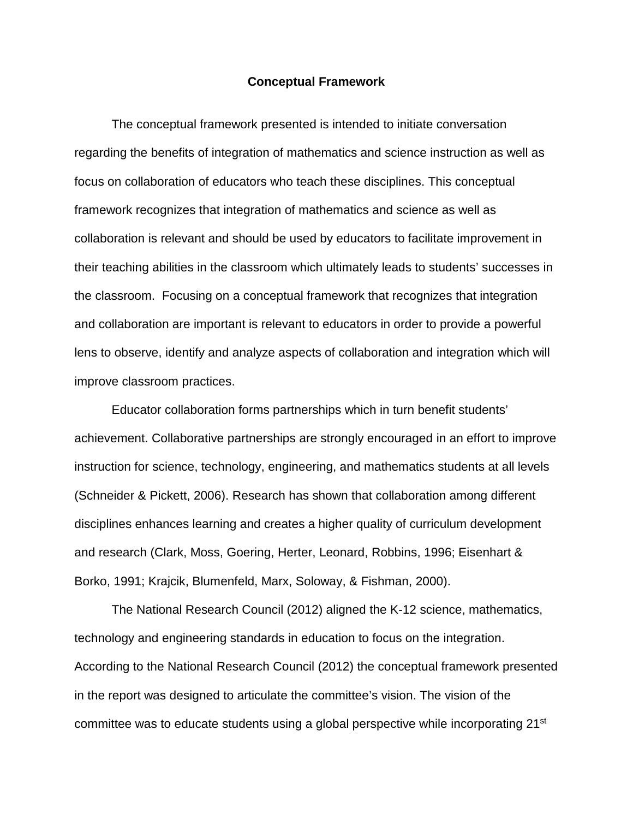#### **Conceptual Framework**

The conceptual framework presented is intended to initiate conversation regarding the benefits of integration of mathematics and science instruction as well as focus on collaboration of educators who teach these disciplines. This conceptual framework recognizes that integration of mathematics and science as well as collaboration is relevant and should be used by educators to facilitate improvement in their teaching abilities in the classroom which ultimately leads to students' successes in the classroom. Focusing on a conceptual framework that recognizes that integration and collaboration are important is relevant to educators in order to provide a powerful lens to observe, identify and analyze aspects of collaboration and integration which will improve classroom practices.

Educator collaboration forms partnerships which in turn benefit students' achievement. Collaborative partnerships are strongly encouraged in an effort to improve instruction for science, technology, engineering, and mathematics students at all levels (Schneider & Pickett, 2006). Research has shown that collaboration among different disciplines enhances learning and creates a higher quality of curriculum development and research (Clark, Moss, Goering, Herter, Leonard, Robbins, 1996; Eisenhart & Borko, 1991; Krajcik, Blumenfeld, Marx, Soloway, & Fishman, 2000).

The National Research Council (2012) aligned the K-12 science, mathematics, technology and engineering standards in education to focus on the integration. According to the National Research Council (2012) the conceptual framework presented in the report was designed to articulate the committee's vision. The vision of the committee was to educate students using a global perspective while incorporating  $21<sup>st</sup>$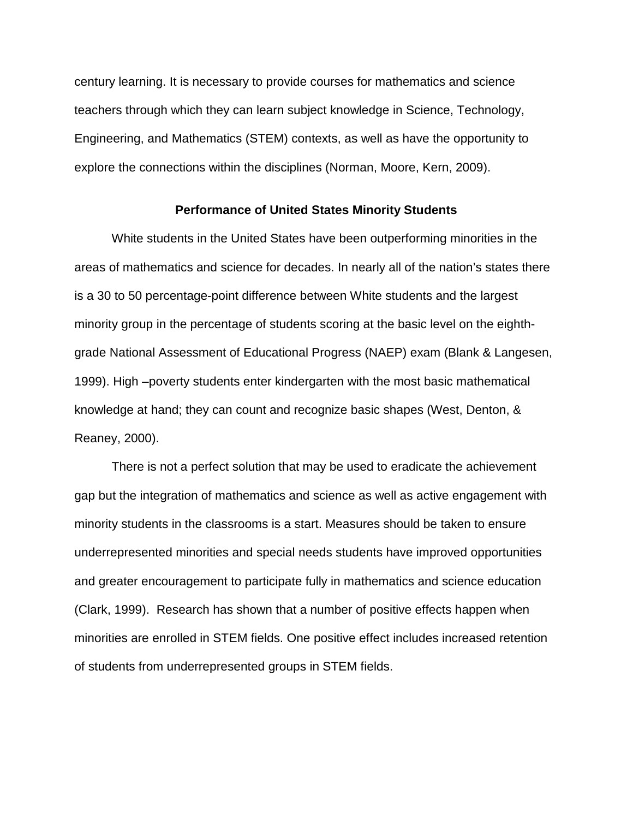century learning. It is necessary to provide courses for mathematics and science teachers through which they can learn subject knowledge in Science, Technology, Engineering, and Mathematics (STEM) contexts, as well as have the opportunity to explore the connections within the disciplines (Norman, Moore, Kern, 2009).

## **Performance of United States Minority Students**

White students in the United States have been outperforming minorities in the areas of mathematics and science for decades. In nearly all of the nation's states there is a 30 to 50 percentage-point difference between White students and the largest minority group in the percentage of students scoring at the basic level on the eighthgrade National Assessment of Educational Progress (NAEP) exam (Blank & Langesen, 1999). High –poverty students enter kindergarten with the most basic mathematical knowledge at hand; they can count and recognize basic shapes (West, Denton, & Reaney, 2000).

There is not a perfect solution that may be used to eradicate the achievement gap but the integration of mathematics and science as well as active engagement with minority students in the classrooms is a start. Measures should be taken to ensure underrepresented minorities and special needs students have improved opportunities and greater encouragement to participate fully in mathematics and science education (Clark, 1999). Research has shown that a number of positive effects happen when minorities are enrolled in STEM fields. One positive effect includes increased retention of students from underrepresented groups in STEM fields.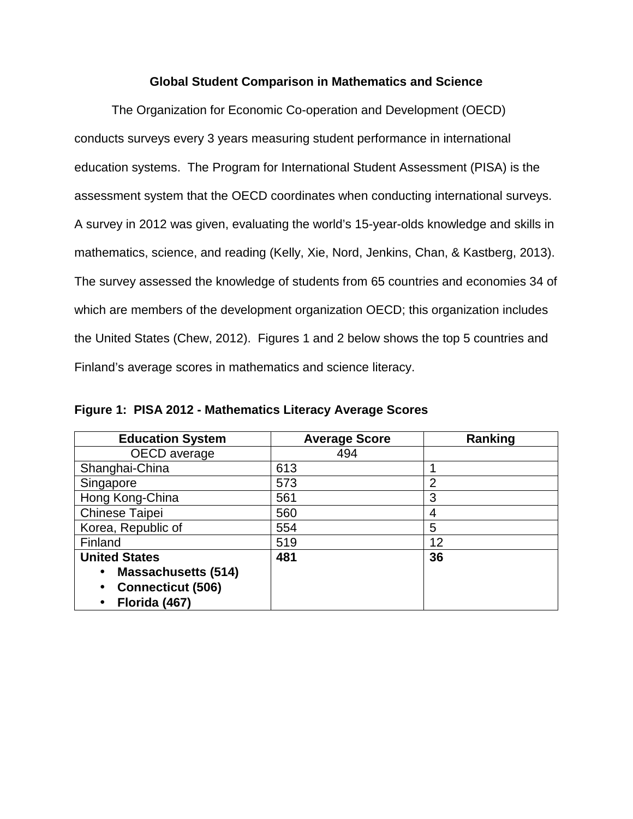## **Global Student Comparison in Mathematics and Science**

The Organization for Economic Co-operation and Development (OECD) conducts surveys every 3 years measuring student performance in international education systems. The Program for International Student Assessment (PISA) is the assessment system that the OECD coordinates when conducting international surveys. A survey in 2012 was given, evaluating the world's 15-year-olds knowledge and skills in mathematics, science, and reading (Kelly, Xie, Nord, Jenkins, Chan, & Kastberg, 2013). The survey assessed the knowledge of students from 65 countries and economies 34 of which are members of the development organization OECD; this organization includes the United States (Chew, 2012). Figures 1 and 2 below shows the top 5 countries and Finland's average scores in mathematics and science literacy.

**Figure 1: PISA 2012 - Mathematics Literacy Average Scores**

| <b>Education System</b>    | <b>Average Score</b> | Ranking        |
|----------------------------|----------------------|----------------|
| OECD average               | 494                  |                |
| Shanghai-China             | 613                  |                |
| Singapore                  | 573                  | $\overline{2}$ |
| Hong Kong-China            | 561                  | 3              |
| Chinese Taipei             | 560                  | 4              |
| Korea, Republic of         | 554                  | 5              |
| Finland                    | 519                  | 12             |
| <b>United States</b>       | 481                  | 36             |
| <b>Massachusetts (514)</b> |                      |                |
| <b>Connecticut (506)</b>   |                      |                |
| Florida (467)              |                      |                |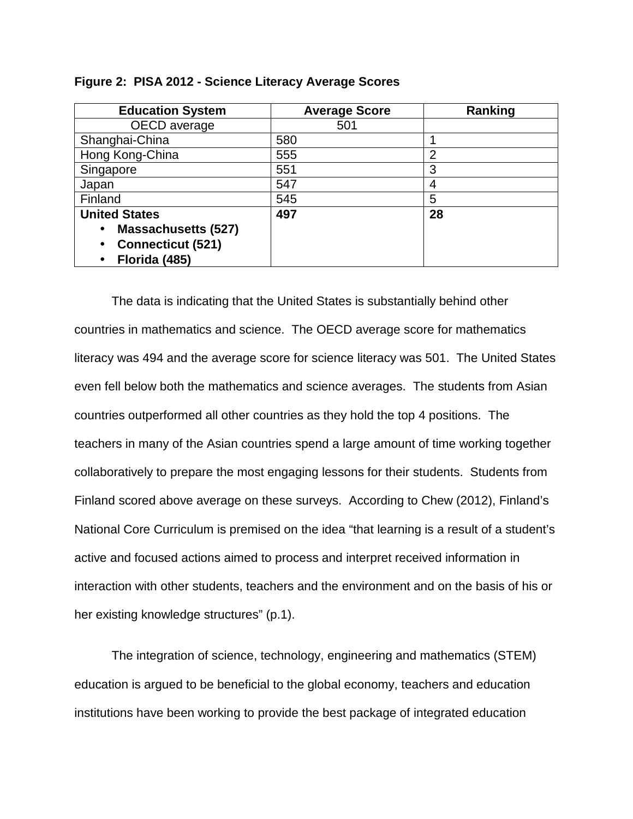| <b>Education System</b>    | <b>Average Score</b> | Ranking        |
|----------------------------|----------------------|----------------|
| OECD average               | 501                  |                |
| Shanghai-China             | 580                  |                |
| Hong Kong-China            | 555                  | $\overline{2}$ |
| Singapore                  | 551                  | 3              |
| Japan                      | 547                  | 4              |
| Finland                    | 545                  | 5              |
| <b>United States</b>       | 497                  | 28             |
| <b>Massachusetts (527)</b> |                      |                |
| <b>Connecticut (521)</b>   |                      |                |
| Florida (485)              |                      |                |

|  | Figure 2: PISA 2012 - Science Literacy Average Scores |
|--|-------------------------------------------------------|
|--|-------------------------------------------------------|

The data is indicating that the United States is substantially behind other countries in mathematics and science. The OECD average score for mathematics literacy was 494 and the average score for science literacy was 501. The United States even fell below both the mathematics and science averages. The students from Asian countries outperformed all other countries as they hold the top 4 positions. The teachers in many of the Asian countries spend a large amount of time working together collaboratively to prepare the most engaging lessons for their students. Students from Finland scored above average on these surveys. According to Chew (2012), Finland's National Core Curriculum is premised on the idea "that learning is a result of a student's active and focused actions aimed to process and interpret received information in interaction with other students, teachers and the environment and on the basis of his or her existing knowledge structures" (p.1).

The integration of science, technology, engineering and mathematics (STEM) education is argued to be beneficial to the global economy, teachers and education institutions have been working to provide the best package of integrated education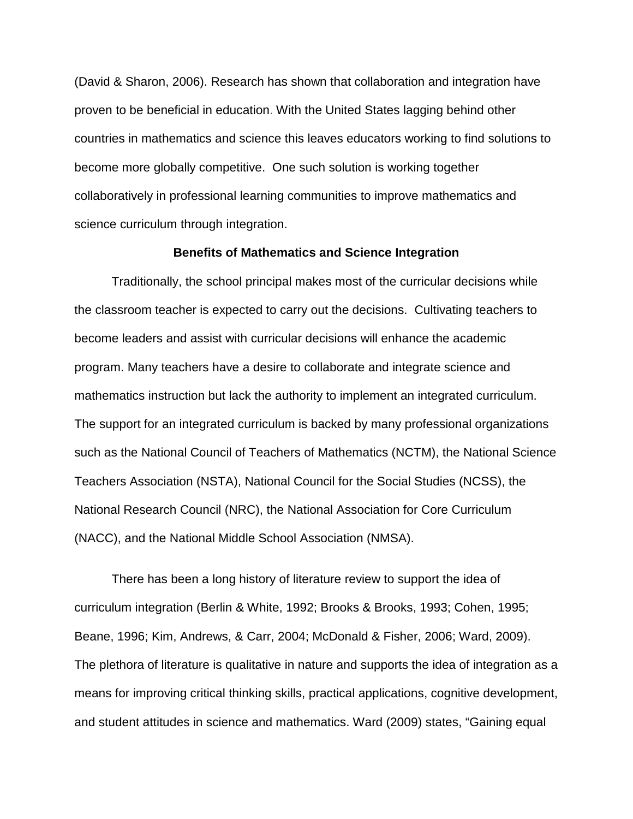(David & Sharon, 2006). Research has shown that collaboration and integration have proven to be beneficial in education. With the United States lagging behind other countries in mathematics and science this leaves educators working to find solutions to become more globally competitive. One such solution is working together collaboratively in professional learning communities to improve mathematics and science curriculum through integration.

## **Benefits of Mathematics and Science Integration**

Traditionally, the school principal makes most of the curricular decisions while the classroom teacher is expected to carry out the decisions. Cultivating teachers to become leaders and assist with curricular decisions will enhance the academic program. Many teachers have a desire to collaborate and integrate science and mathematics instruction but lack the authority to implement an integrated curriculum. The support for an integrated curriculum is backed by many professional organizations such as the National Council of Teachers of Mathematics (NCTM), the National Science Teachers Association (NSTA), National Council for the Social Studies (NCSS), the National Research Council (NRC), the National Association for Core Curriculum (NACC), and the National Middle School Association (NMSA).

There has been a long history of literature review to support the idea of curriculum integration (Berlin & White, 1992; Brooks & Brooks, 1993; Cohen, 1995; Beane, 1996; Kim, Andrews, & Carr, 2004; McDonald & Fisher, 2006; Ward, 2009). The plethora of literature is qualitative in nature and supports the idea of integration as a means for improving critical thinking skills, practical applications, cognitive development, and student attitudes in science and mathematics. Ward (2009) states, "Gaining equal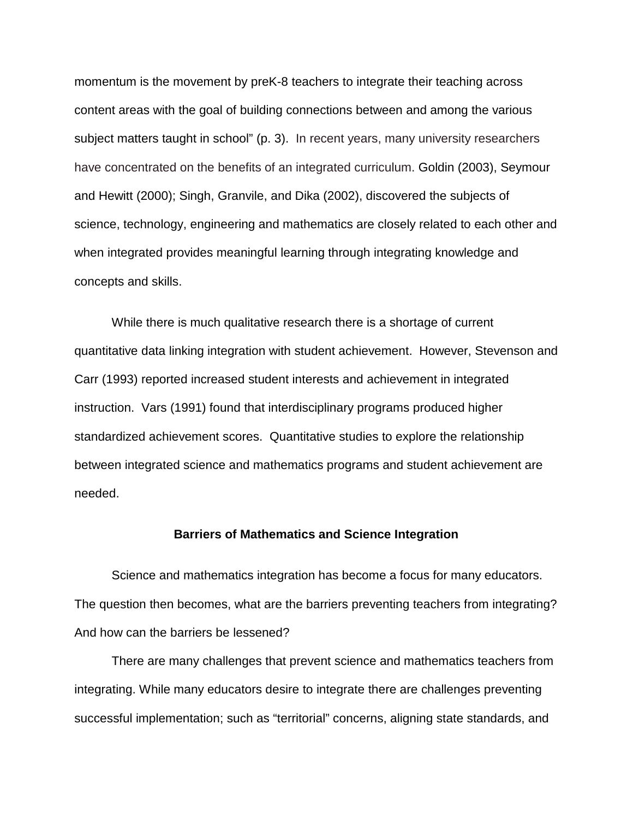momentum is the movement by preK-8 teachers to integrate their teaching across content areas with the goal of building connections between and among the various subject matters taught in school" (p. 3). In recent years, many university researchers have concentrated on the benefits of an integrated curriculum. Goldin (2003), Seymour and Hewitt (2000); Singh, Granvile, and Dika (2002), discovered the subjects of science, technology, engineering and mathematics are closely related to each other and when integrated provides meaningful learning through integrating knowledge and concepts and skills.

While there is much qualitative research there is a shortage of current quantitative data linking integration with student achievement. However, Stevenson and Carr (1993) reported increased student interests and achievement in integrated instruction. Vars (1991) found that interdisciplinary programs produced higher standardized achievement scores. Quantitative studies to explore the relationship between integrated science and mathematics programs and student achievement are needed.

#### **Barriers of Mathematics and Science Integration**

Science and mathematics integration has become a focus for many educators. The question then becomes, what are the barriers preventing teachers from integrating? And how can the barriers be lessened?

There are many challenges that prevent science and mathematics teachers from integrating. While many educators desire to integrate there are challenges preventing successful implementation; such as "territorial" concerns, aligning state standards, and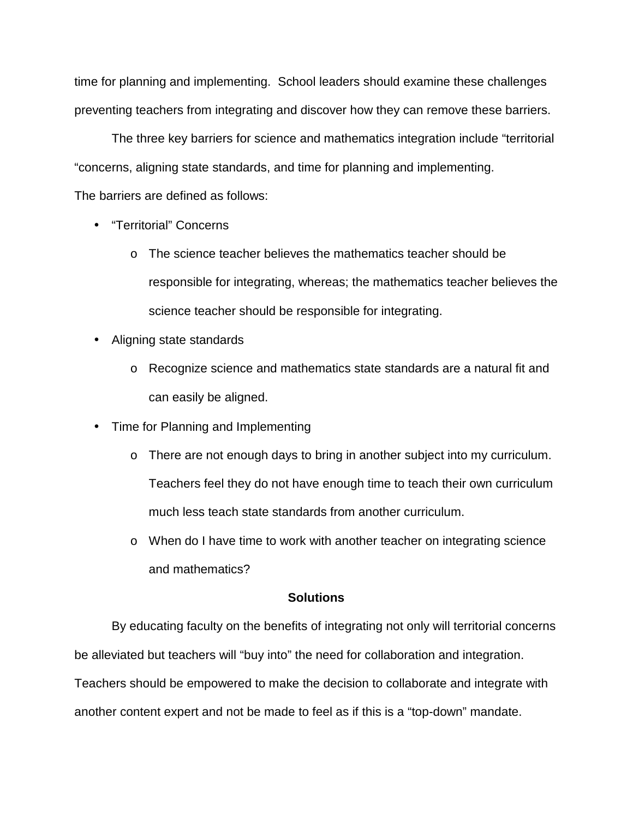time for planning and implementing. School leaders should examine these challenges preventing teachers from integrating and discover how they can remove these barriers.

The three key barriers for science and mathematics integration include "territorial "concerns, aligning state standards, and time for planning and implementing.

The barriers are defined as follows:

- "Territorial" Concerns
	- o The science teacher believes the mathematics teacher should be responsible for integrating, whereas; the mathematics teacher believes the science teacher should be responsible for integrating.
- Aligning state standards
	- o Recognize science and mathematics state standards are a natural fit and can easily be aligned.
- Time for Planning and Implementing
	- o There are not enough days to bring in another subject into my curriculum. Teachers feel they do not have enough time to teach their own curriculum much less teach state standards from another curriculum.
	- o When do I have time to work with another teacher on integrating science and mathematics?

# **Solutions**

By educating faculty on the benefits of integrating not only will territorial concerns be alleviated but teachers will "buy into" the need for collaboration and integration. Teachers should be empowered to make the decision to collaborate and integrate with another content expert and not be made to feel as if this is a "top-down" mandate.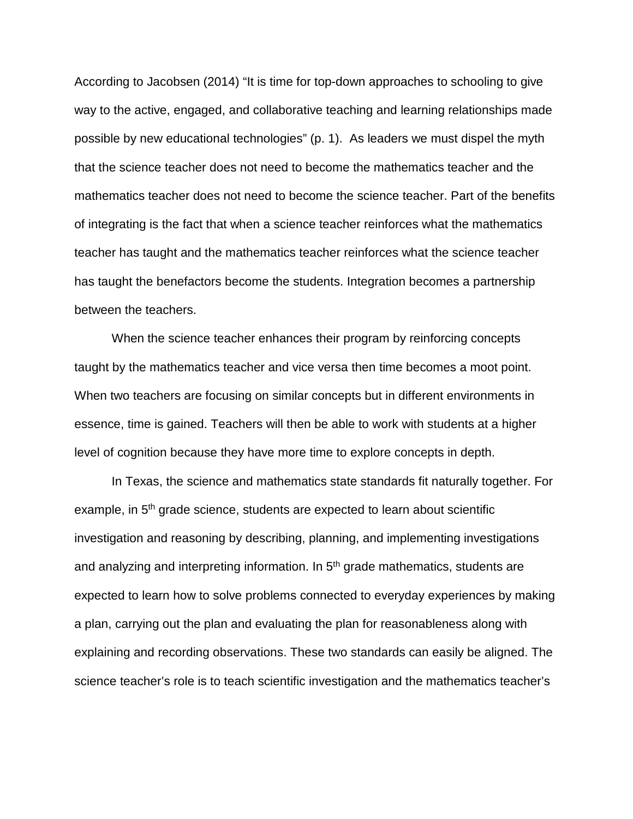According to Jacobsen (2014) "It is time for top-down approaches to schooling to give way to the active, engaged, and collaborative teaching and learning relationships made possible by new educational technologies" (p. 1). As leaders we must dispel the myth that the science teacher does not need to become the mathematics teacher and the mathematics teacher does not need to become the science teacher. Part of the benefits of integrating is the fact that when a science teacher reinforces what the mathematics teacher has taught and the mathematics teacher reinforces what the science teacher has taught the benefactors become the students. Integration becomes a partnership between the teachers.

When the science teacher enhances their program by reinforcing concepts taught by the mathematics teacher and vice versa then time becomes a moot point. When two teachers are focusing on similar concepts but in different environments in essence, time is gained. Teachers will then be able to work with students at a higher level of cognition because they have more time to explore concepts in depth.

In Texas, the science and mathematics state standards fit naturally together. For example, in 5<sup>th</sup> grade science, students are expected to learn about scientific investigation and reasoning by describing, planning, and implementing investigations and analyzing and interpreting information. In 5<sup>th</sup> grade mathematics, students are expected to learn how to solve problems connected to everyday experiences by making a plan, carrying out the plan and evaluating the plan for reasonableness along with explaining and recording observations. These two standards can easily be aligned. The science teacher's role is to teach scientific investigation and the mathematics teacher's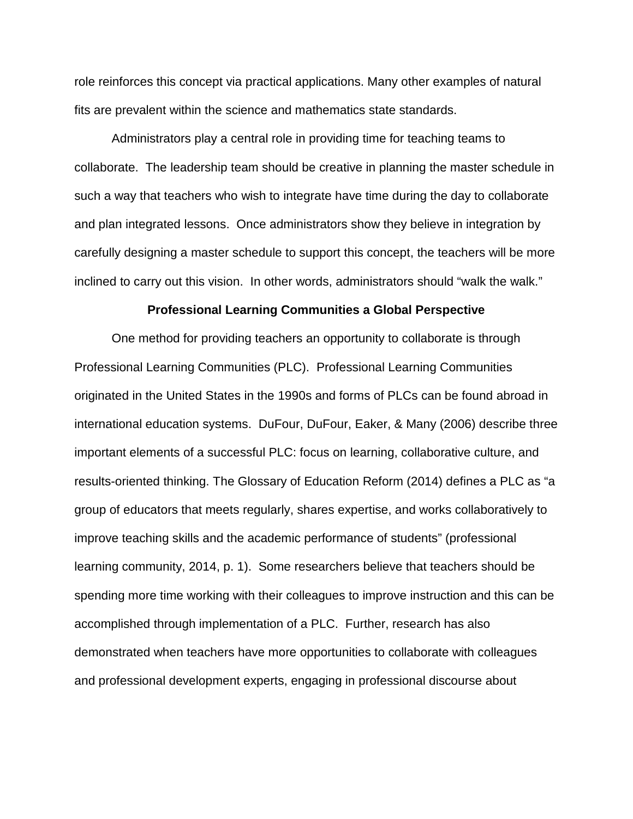role reinforces this concept via practical applications. Many other examples of natural fits are prevalent within the science and mathematics state standards.

Administrators play a central role in providing time for teaching teams to collaborate. The leadership team should be creative in planning the master schedule in such a way that teachers who wish to integrate have time during the day to collaborate and plan integrated lessons. Once administrators show they believe in integration by carefully designing a master schedule to support this concept, the teachers will be more inclined to carry out this vision. In other words, administrators should "walk the walk."

#### **Professional Learning Communities a Global Perspective**

One method for providing teachers an opportunity to collaborate is through Professional Learning Communities (PLC). Professional Learning Communities originated in the United States in the 1990s and forms of PLCs can be found abroad in international education systems. DuFour, DuFour, Eaker, & Many (2006) describe three important elements of a successful PLC: focus on learning, collaborative culture, and results-oriented thinking. The Glossary of Education Reform (2014) defines a PLC as "a group of educators that meets regularly, shares expertise, and works collaboratively to improve teaching skills and the academic performance of students" (professional learning community, 2014, p. 1). Some researchers believe that teachers should be spending more time working with their colleagues to improve instruction and this can be accomplished through implementation of a PLC. Further, research has also demonstrated when teachers have more opportunities to collaborate with colleagues and professional development experts, engaging in professional discourse about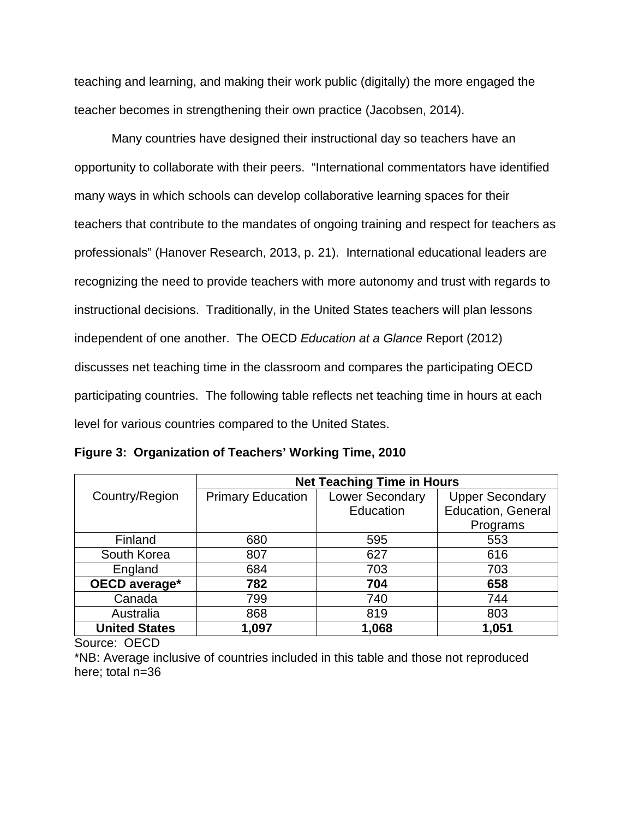teaching and learning, and making their work public (digitally) the more engaged the teacher becomes in strengthening their own practice (Jacobsen, 2014).

Many countries have designed their instructional day so teachers have an opportunity to collaborate with their peers. "International commentators have identified many ways in which schools can develop collaborative learning spaces for their teachers that contribute to the mandates of ongoing training and respect for teachers as professionals" (Hanover Research, 2013, p. 21). International educational leaders are recognizing the need to provide teachers with more autonomy and trust with regards to instructional decisions. Traditionally, in the United States teachers will plan lessons independent of one another. The OECD *Education at a Glance* Report (2012) discusses net teaching time in the classroom and compares the participating OECD participating countries. The following table reflects net teaching time in hours at each level for various countries compared to the United States.

|                      | <b>Net Teaching Time in Hours</b> |                        |                           |
|----------------------|-----------------------------------|------------------------|---------------------------|
| Country/Region       | <b>Primary Education</b>          | <b>Lower Secondary</b> | <b>Upper Secondary</b>    |
|                      |                                   | Education              | <b>Education, General</b> |
|                      |                                   |                        | Programs                  |
| Finland              | 680                               | 595                    | 553                       |
| South Korea          | 807                               | 627                    | 616                       |
| England              | 684                               | 703                    | 703                       |
| OECD average*        | 782                               | 704                    | 658                       |
| Canada               | 799                               | 740                    | 744                       |
| Australia            | 868                               | 819                    | 803                       |
| <b>United States</b> | 1,097                             | 1,068                  | 1,051                     |

**Figure 3: Organization of Teachers' Working Time, 2010**

Source: OECD

\*NB: Average inclusive of countries included in this table and those not reproduced here; total n=36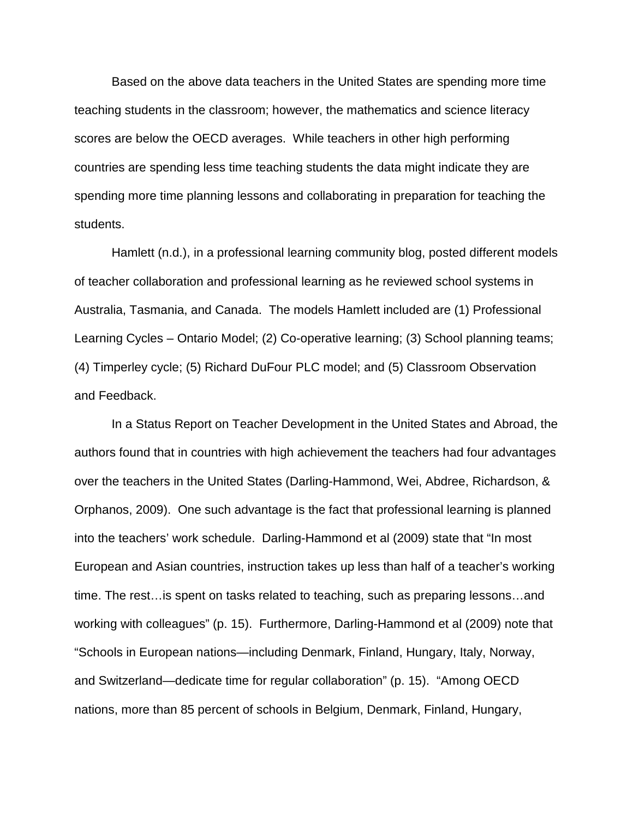Based on the above data teachers in the United States are spending more time teaching students in the classroom; however, the mathematics and science literacy scores are below the OECD averages. While teachers in other high performing countries are spending less time teaching students the data might indicate they are spending more time planning lessons and collaborating in preparation for teaching the students.

Hamlett (n.d.), in a professional learning community blog, posted different models of teacher collaboration and professional learning as he reviewed school systems in Australia, Tasmania, and Canada. The models Hamlett included are (1) Professional Learning Cycles – Ontario Model; (2) Co-operative learning; (3) School planning teams; (4) Timperley cycle; (5) Richard DuFour PLC model; and (5) Classroom Observation and Feedback.

In a Status Report on Teacher Development in the United States and Abroad, the authors found that in countries with high achievement the teachers had four advantages over the teachers in the United States (Darling-Hammond, Wei, Abdree, Richardson, & Orphanos, 2009). One such advantage is the fact that professional learning is planned into the teachers' work schedule. Darling-Hammond et al (2009) state that "In most European and Asian countries, instruction takes up less than half of a teacher's working time. The rest…is spent on tasks related to teaching, such as preparing lessons…and working with colleagues" (p. 15). Furthermore, Darling-Hammond et al (2009) note that "Schools in European nations—including Denmark, Finland, Hungary, Italy, Norway, and Switzerland—dedicate time for regular collaboration" (p. 15). "Among OECD nations, more than 85 percent of schools in Belgium, Denmark, Finland, Hungary,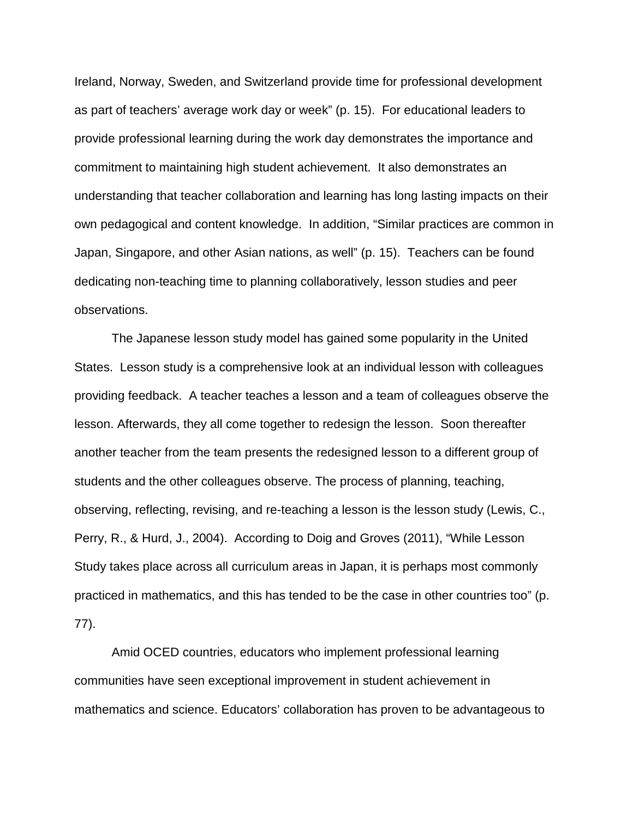Ireland, Norway, Sweden, and Switzerland provide time for professional development as part of teachers' average work day or week" (p. 15). For educational leaders to provide professional learning during the work day demonstrates the importance and commitment to maintaining high student achievement. It also demonstrates an understanding that teacher collaboration and learning has long lasting impacts on their own pedagogical and content knowledge. In addition, "Similar practices are common in Japan, Singapore, and other Asian nations, as well" (p. 15). Teachers can be found dedicating non-teaching time to planning collaboratively, lesson studies and peer observations.

The Japanese lesson study model has gained some popularity in the United States. Lesson study is a comprehensive look at an individual lesson with colleagues providing feedback. A teacher teaches a lesson and a team of colleagues observe the lesson. Afterwards, they all come together to redesign the lesson. Soon thereafter another teacher from the team presents the redesigned lesson to a different group of students and the other colleagues observe. The process of planning, teaching, observing, reflecting, revising, and re-teaching a lesson is the lesson study (Lewis, C., Perry, R., & Hurd, J., 2004). According to Doig and Groves (2011), "While Lesson Study takes place across all curriculum areas in Japan, it is perhaps most commonly practiced in mathematics, and this has tended to be the case in other countries too" (p. 77).

Amid OCED countries, educators who implement professional learning communities have seen exceptional improvement in student achievement in mathematics and science. Educators' collaboration has proven to be advantageous to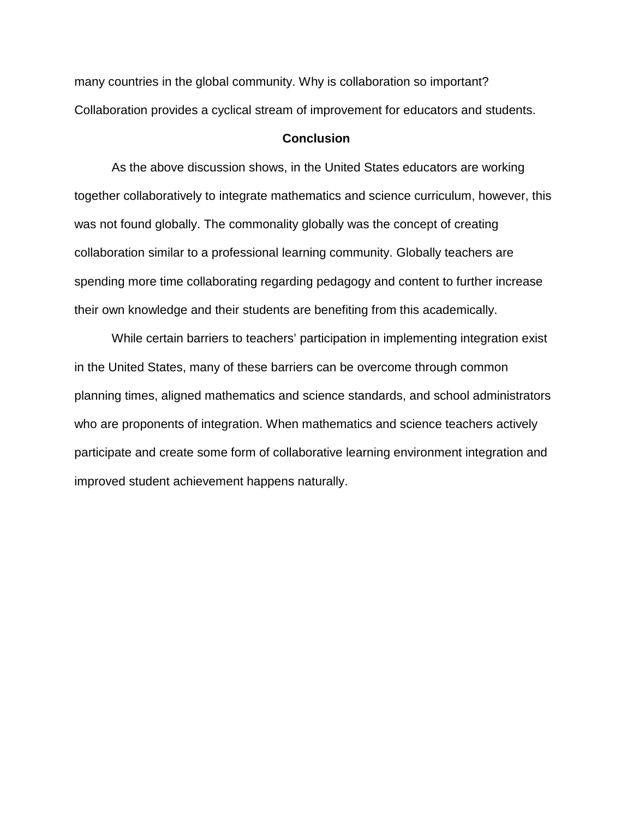many countries in the global community. Why is collaboration so important? Collaboration provides a cyclical stream of improvement for educators and students.

## **Conclusion**

As the above discussion shows, in the United States educators are working together collaboratively to integrate mathematics and science curriculum, however, this was not found globally. The commonality globally was the concept of creating collaboration similar to a professional learning community. Globally teachers are spending more time collaborating regarding pedagogy and content to further increase their own knowledge and their students are benefiting from this academically.

While certain barriers to teachers' participation in implementing integration exist in the United States, many of these barriers can be overcome through common planning times, aligned mathematics and science standards, and school administrators who are proponents of integration. When mathematics and science teachers actively participate and create some form of collaborative learning environment integration and improved student achievement happens naturally.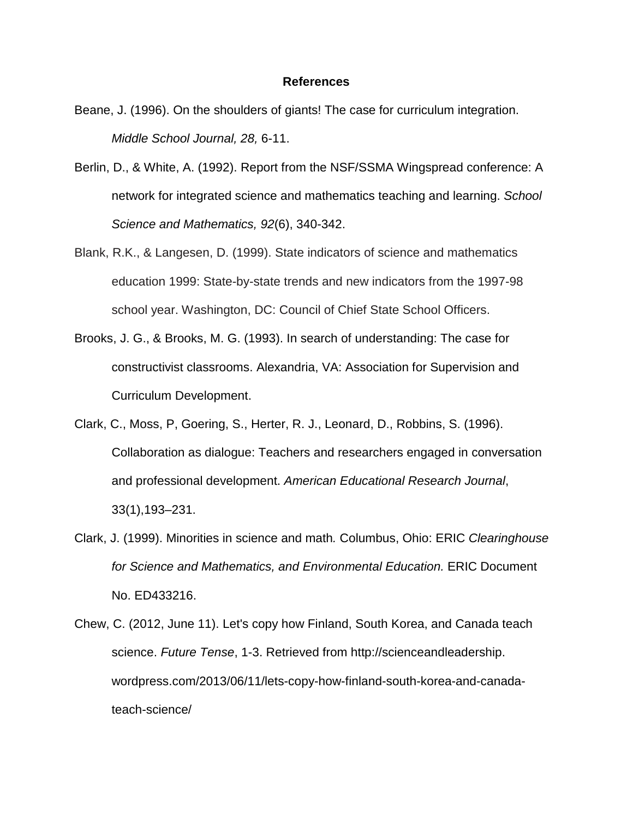#### **References**

- Beane, J. (1996). On the shoulders of giants! The case for curriculum integration. *Middle School Journal, 28,* 6-11.
- Berlin, D., & White, A. (1992). Report from the NSF/SSMA Wingspread conference: A network for integrated science and mathematics teaching and learning. *School Science and Mathematics, 92*(6), 340-342.
- Blank, R.K., & Langesen, D. (1999). State indicators of science and mathematics education 1999: State-by-state trends and new indicators from the 1997-98 school year. Washington, DC: Council of Chief State School Officers.
- Brooks, J. G., & Brooks, M. G. (1993). In search of understanding: The case for constructivist classrooms. Alexandria, VA: Association for Supervision and Curriculum Development.
- Clark, C., Moss, P, Goering, S., Herter, R. J., Leonard, D., Robbins, S. (1996). Collaboration as dialogue: Teachers and researchers engaged in conversation and professional development. *American Educational Research Journal*, 33(1),193–231.
- Clark, J. (1999). Minorities in science and math*.* Columbus, Ohio: ERIC *Clearinghouse for Science and Mathematics, and Environmental Education.* ERIC Document No. ED433216.
- Chew, C. (2012, June 11). Let's copy how Finland, South Korea, and Canada teach science. *Future Tense*, 1-3. Retrieved from http://scienceandleadership. wordpress.com/2013/06/11/lets-copy-how-finland-south-korea-and-canadateach-science/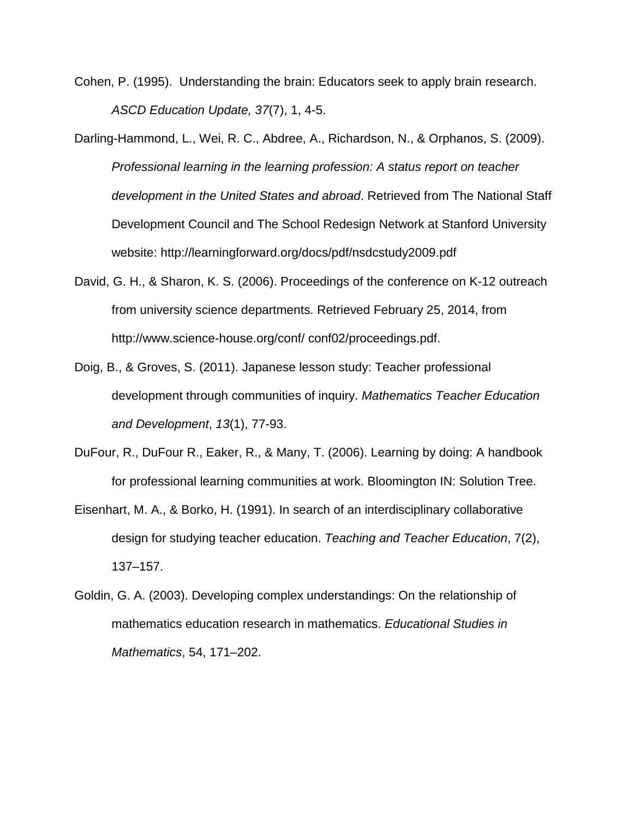- Cohen, P. (1995). Understanding the brain: Educators seek to apply brain research. *ASCD Education Update, 37*(7), 1, 4-5.
- Darling-Hammond, L., Wei, R. C., Abdree, A., Richardson, N., & Orphanos, S. (2009). *Professional learning in the learning profession: A status report on teacher development in the United States and abroad*. Retrieved from The National Staff Development Council and The School Redesign Network at Stanford University website: http://learningforward.org/docs/pdf/nsdcstudy2009.pdf
- David, G. H., & Sharon, K. S. (2006). Proceedings of the conference on K-12 outreach from university science departments. Retrieved February 25, 2014, from http://www.science-house.org/conf/ conf02/proceedings.pdf.
- Doig, B., & Groves, S. (2011). Japanese lesson study: Teacher professional development through communities of inquiry. *Mathematics Teacher Education and Development*, *13*(1), 77-93.
- DuFour, R., DuFour R., Eaker, R., & Many, T. (2006). Learning by doing: A handbook for professional learning communities at work. Bloomington IN: Solution Tree.
- Eisenhart, M. A., & Borko, H. (1991). In search of an interdisciplinary collaborative design for studying teacher education. *Teaching and Teacher Education*, 7(2), 137–157.
- Goldin, G. A. (2003). Developing complex understandings: On the relationship of mathematics education research in mathematics. *Educational Studies in Mathematics*, 54, 171–202.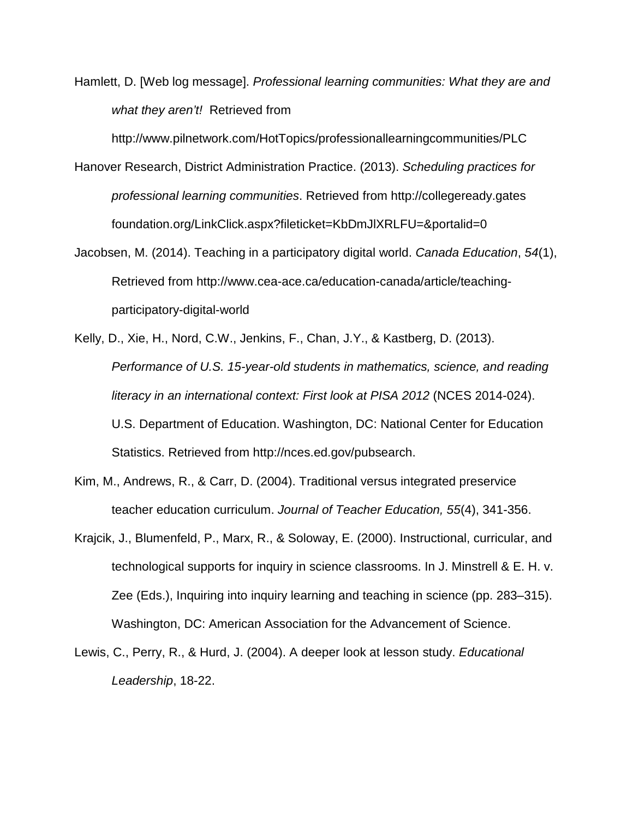Hamlett, D. [Web log message]. *Professional learning communities: What they are and what they aren't!* Retrieved from

http://www.pilnetwork.com/HotTopics/professionallearningcommunities/PLC

- Hanover Research, District Administration Practice. (2013). *Scheduling practices for professional learning communities*. Retrieved from http://collegeready.gates foundation.org/LinkClick.aspx?fileticket=KbDmJlXRLFU=&portalid=0
- Jacobsen, M. (2014). Teaching in a participatory digital world. *Canada Education*, *54*(1), Retrieved from http://www.cea-ace.ca/education-canada/article/teachingparticipatory-digital-world
- Kelly, D., Xie, H., Nord, C.W., Jenkins, F., Chan, J.Y., & Kastberg, D. (2013). *Performance of U.S. 15-year-old students in mathematics, science, and reading literacy in an international context: First look at PISA 2012* (NCES 2014-024). U.S. Department of Education. Washington, DC: National Center for Education Statistics. Retrieved from http://nces.ed.gov/pubsearch.
- Kim, M., Andrews, R., & Carr, D. (2004). Traditional versus integrated preservice teacher education curriculum. *Journal of Teacher Education, 55*(4), 341-356.
- Krajcik, J., Blumenfeld, P., Marx, R., & Soloway, E. (2000). Instructional, curricular, and technological supports for inquiry in science classrooms. In J. Minstrell & E. H. v. Zee (Eds.), Inquiring into inquiry learning and teaching in science (pp. 283–315). Washington, DC: American Association for the Advancement of Science.
- Lewis, C., Perry, R., & Hurd, J. (2004). A deeper look at lesson study. *Educational Leadership*, 18-22.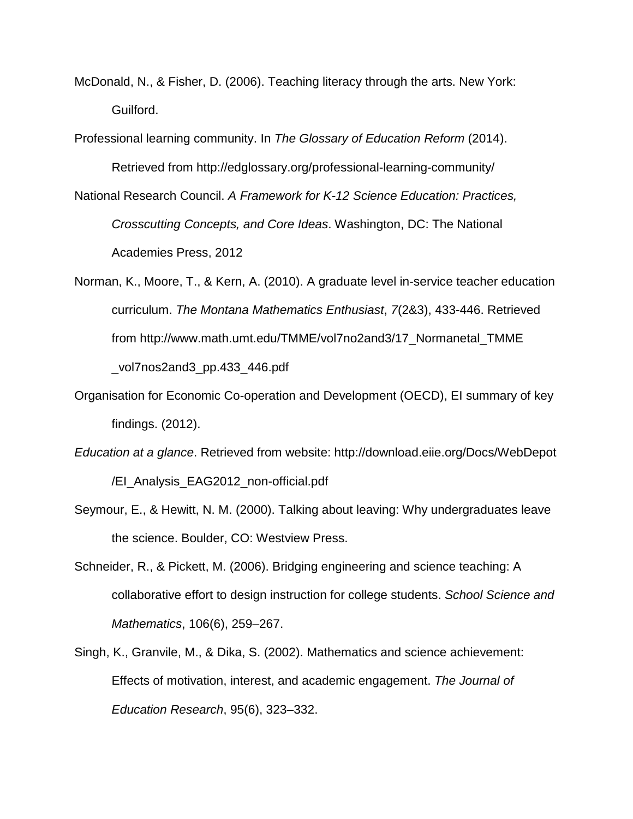McDonald, N., & Fisher, D. (2006). Teaching literacy through the arts. New York: Guilford.

Professional learning community. In *The Glossary of Education Reform* (2014).

Retrieved from http://edglossary.org/professional-learning-community/

National Research Council. *A Framework for K-12 Science Education: Practices,* 

*Crosscutting Concepts, and Core Ideas*. Washington, DC: The National Academies Press, 2012

- Norman, K., Moore, T., & Kern, A. (2010). A graduate level in-service teacher education curriculum. *The Montana Mathematics Enthusiast*, *7*(2&3), 433-446. Retrieved from http://www.math.umt.edu/TMME/vol7no2and3/17\_Normanetal\_TMME \_vol7nos2and3\_pp.433\_446.pdf
- Organisation for Economic Co-operation and Development (OECD), EI summary of key findings. (2012).
- *Education at a glance*. Retrieved from website: http://download.eiie.org/Docs/WebDepot /EI\_Analysis\_EAG2012\_non-official.pdf
- Seymour, E., & Hewitt, N. M. (2000). Talking about leaving: Why undergraduates leave the science. Boulder, CO: Westview Press.
- Schneider, R., & Pickett, M. (2006). Bridging engineering and science teaching: A collaborative effort to design instruction for college students. *School Science and Mathematics*, 106(6), 259–267.
- Singh, K., Granvile, M., & Dika, S. (2002). Mathematics and science achievement: Effects of motivation, interest, and academic engagement. *The Journal of Education Research*, 95(6), 323–332.